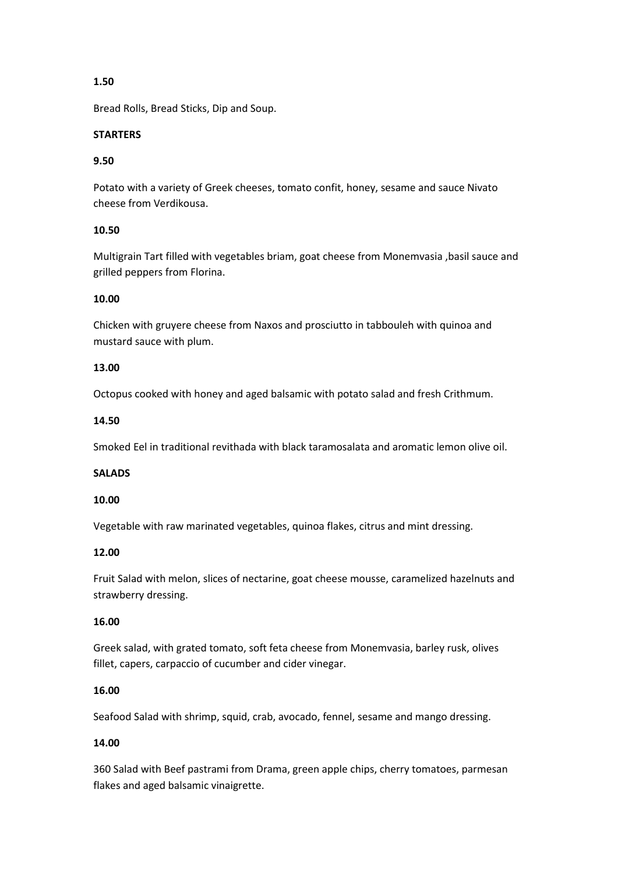# **1.50**

Bread Rolls, Bread Sticks, Dip and Soup.

## **STARTERS**

# **9.50**

Potato with a variety of Greek cheeses, tomato confit, honey, sesame and sauce Nivato cheese from Verdikousa.

# **10.50**

Multigrain Tart filled with vegetables briam, goat cheese from Monemvasia ,basil sauce and grilled peppers from Florina.

# **10.00**

Chicken with gruyere cheese from Naxos and prosciutto in tabbouleh with quinoa and mustard sauce with plum.

# **13.00**

Octopus cooked with honey and aged balsamic with potato salad and fresh Crithmum.

### **14.50**

Smoked Eel in traditional revithada with black taramosalata and aromatic lemon olive oil.

# **SALADS**

#### **10.00**

Vegetable with raw marinated vegetables, quinoa flakes, citrus and mint dressing.

#### **12.00**

Fruit Salad with melon, slices of nectarine, goat cheese mousse, caramelized hazelnuts and strawberry dressing.

#### **16.00**

Greek salad, with grated tomato, soft feta cheese from Monemvasia, barley rusk, olives fillet, capers, carpaccio of cucumber and cider vinegar.

# **16.00**

Seafood Salad with shrimp, squid, crab, avocado, fennel, sesame and mango dressing.

# **14.00**

360 Salad with Beef pastrami from Drama, green apple chips, cherry tomatoes, parmesan flakes and aged balsamic vinaigrette.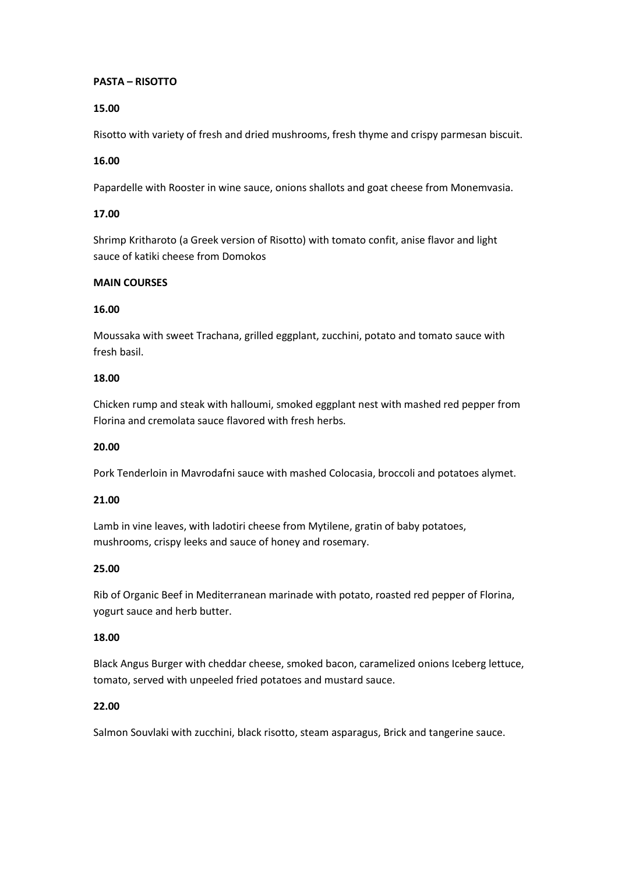### **PASTA – RISOTTO**

## **15.00**

Risotto with variety of fresh and dried mushrooms, fresh thyme and crispy parmesan biscuit.

### **16.00**

Papardelle with Rooster in wine sauce, onions shallots and goat cheese from Monemvasia.

### **17.00**

Shrimp Kritharoto (a Greek version of Risotto) with tomato confit, anise flavor and light sauce of katiki cheese from Domokos

### **MAIN COURSES**

### **16.00**

Moussaka with sweet Trachana, grilled eggplant, zucchini, potato and tomato sauce with fresh basil.

### **18.00**

Chicken rump and steak with halloumi, smoked eggplant nest with mashed red pepper from Florina and cremolata sauce flavored with fresh herbs.

#### **20.00**

Pork Tenderloin in Mavrodafni sauce with mashed Colocasia, broccoli and potatoes alymet.

#### **21.00**

Lamb in vine leaves, with ladotiri cheese from Mytilene, gratin of baby potatoes, mushrooms, crispy leeks and sauce of honey and rosemary.

#### **25.00**

Rib of Organic Beef in Mediterranean marinade with potato, roasted red pepper of Florina, yogurt sauce and herb butter.

#### **18.00**

Black Angus Burger with cheddar cheese, smoked bacon, caramelized onions Iceberg lettuce, tomato, served with unpeeled fried potatoes and mustard sauce.

# **22.00**

Salmon Souvlaki with zucchini, black risotto, steam asparagus, Brick and tangerine sauce.